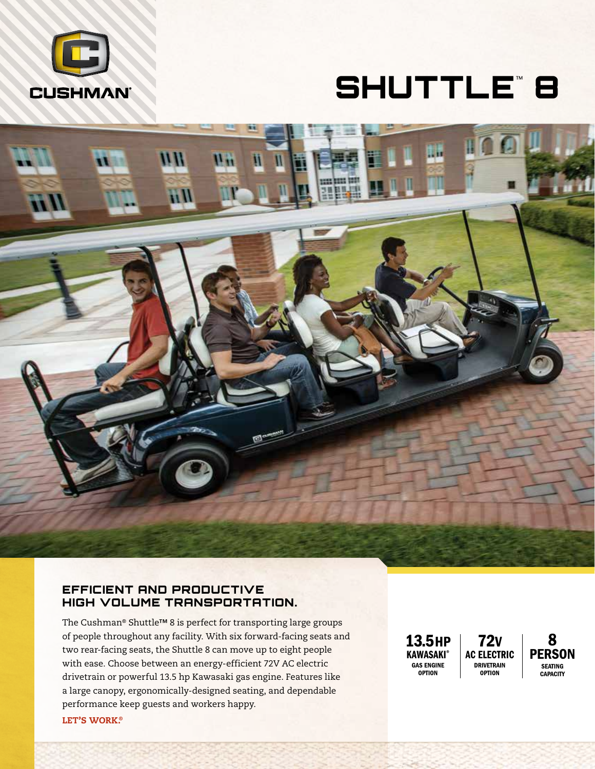

# SHUTTLE™8



### EFFICIENT AND PRODUCTIVE HIGH VOLUME TRANSPORTATION.

The Cushman® Shuttle™ 8 is perfect for transporting large groups of people throughout any facility. With six forward-facing seats and two rear-facing seats, the Shuttle 8 can move up to eight people with ease. Choose between an energy-efficient 72V AC electric drivetrain or powerful 13.5 hp Kawasaki gas engine. Features like a large canopy, ergonomically-designed seating, and dependable performance keep guests and workers happy.

13.5HP **KAWASAKI®** GAS ENGINE **OPTION** 72V AC ELECTRIC DRIVETRAIN **OPTION** 

**PERSON SEATING CAPACITY** 

8

LET'S WORK.®